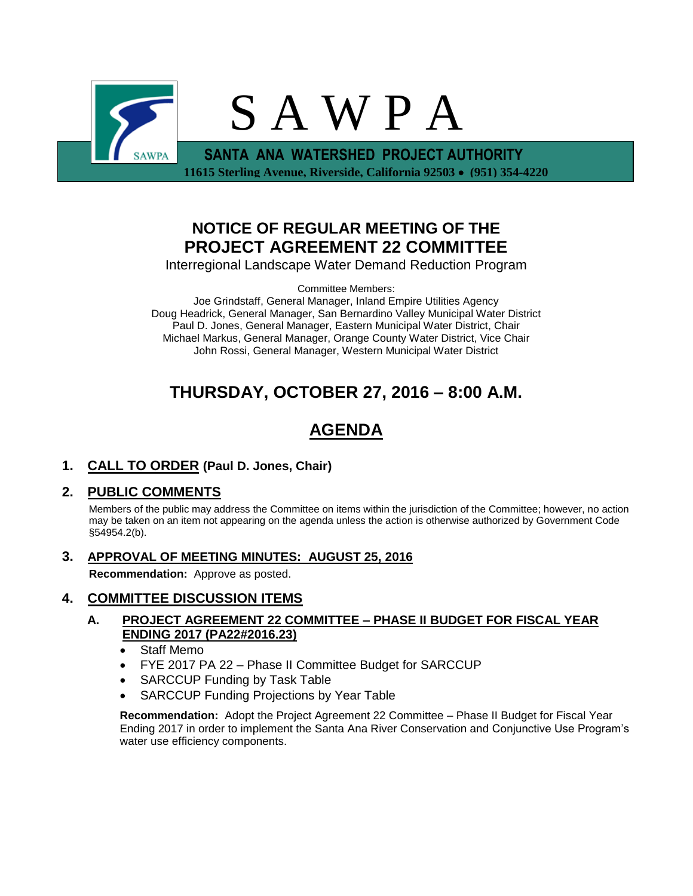

## **NOTICE OF REGULAR MEETING OF THE PROJECT AGREEMENT 22 COMMITTEE**

Interregional Landscape Water Demand Reduction Program

Committee Members:

Joe Grindstaff, General Manager, Inland Empire Utilities Agency Doug Headrick, General Manager, San Bernardino Valley Municipal Water District Paul D. Jones, General Manager, Eastern Municipal Water District, Chair Michael Markus, General Manager, Orange County Water District, Vice Chair John Rossi, General Manager, Western Municipal Water District

# **THURSDAY, OCTOBER 27, 2016 – 8:00 A.M.**

# **AGENDA**

**1. CALL TO ORDER (Paul D. Jones, Chair)** 

### **2. PUBLIC COMMENTS**

Members of the public may address the Committee on items within the jurisdiction of the Committee; however, no action may be taken on an item not appearing on the agenda unless the action is otherwise authorized by Government Code §54954.2(b).

**3. APPROVAL OF MEETING MINUTES: AUGUST 25, 2016**

**Recommendation:** Approve as posted.

### **4. COMMITTEE DISCUSSION ITEMS**

#### **A. PROJECT AGREEMENT 22 COMMITTEE – PHASE II BUDGET FOR FISCAL YEAR ENDING 2017 (PA22#2016.23)**

- Staff Memo
- FYE 2017 PA 22 Phase II Committee Budget for SARCCUP
- SARCCUP Funding by Task Table
- SARCCUP Funding Projections by Year Table

**Recommendation:** Adopt the Project Agreement 22 Committee – Phase II Budget for Fiscal Year Ending 2017 in order to implement the Santa Ana River Conservation and Conjunctive Use Program's water use efficiency components.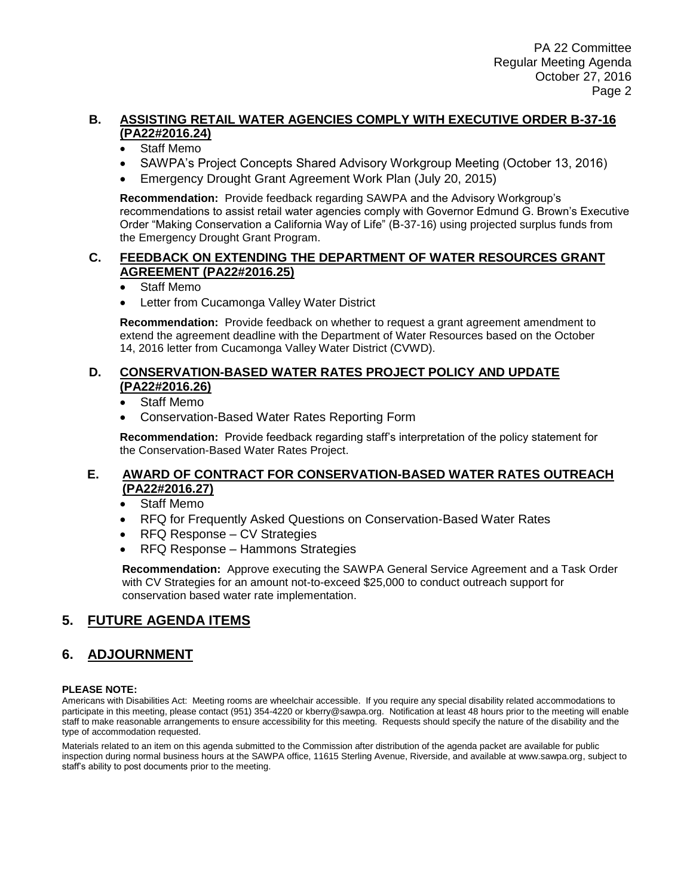#### **B. ASSISTING RETAIL WATER AGENCIES COMPLY WITH EXECUTIVE ORDER B-37-16 (PA22#2016.24)**

- Staff Memo
- SAWPA's Project Concepts Shared Advisory Workgroup Meeting (October 13, 2016)
- Emergency Drought Grant Agreement Work Plan (July 20, 2015)

**Recommendation:** Provide feedback regarding SAWPA and the Advisory Workgroup's recommendations to assist retail water agencies comply with Governor Edmund G. Brown's Executive Order "Making Conservation a California Way of Life" (B-37-16) using projected surplus funds from the Emergency Drought Grant Program.

#### **C. FEEDBACK ON EXTENDING THE DEPARTMENT OF WATER RESOURCES GRANT AGREEMENT (PA22#2016.25)**

- Staff Memo
- Letter from Cucamonga Valley Water District

**Recommendation:** Provide feedback on whether to request a grant agreement amendment to extend the agreement deadline with the Department of Water Resources based on the October 14, 2016 letter from Cucamonga Valley Water District (CVWD).

#### **D. CONSERVATION-BASED WATER RATES PROJECT POLICY AND UPDATE (PA22#2016.26)**

- Staff Memo
- Conservation-Based Water Rates Reporting Form

**Recommendation:** Provide feedback regarding staff's interpretation of the policy statement for the Conservation-Based Water Rates Project.

#### **E. AWARD OF CONTRACT FOR CONSERVATION-BASED WATER RATES OUTREACH (PA22#2016.27)**

- Staff Memo
- RFQ for Frequently Asked Questions on Conservation-Based Water Rates
- RFQ Response CV Strategies
- RFQ Response Hammons Strategies

**Recommendation:** Approve executing the SAWPA General Service Agreement and a Task Order with CV Strategies for an amount not-to-exceed \$25,000 to conduct outreach support for conservation based water rate implementation.

### **5. FUTURE AGENDA ITEMS**

### **6. ADJOURNMENT**

#### **PLEASE NOTE:**

Americans with Disabilities Act: Meeting rooms are wheelchair accessible. If you require any special disability related accommodations to participate in this meeting, please contact (951) 354-4220 or kberry@sawpa.org. Notification at least 48 hours prior to the meeting will enable staff to make reasonable arrangements to ensure accessibility for this meeting. Requests should specify the nature of the disability and the type of accommodation requested.

Materials related to an item on this agenda submitted to the Commission after distribution of the agenda packet are available for public inspection during normal business hours at the SAWPA office, 11615 Sterling Avenue, Riverside, and available at www.sawpa.org, subject to staff's ability to post documents prior to the meeting.